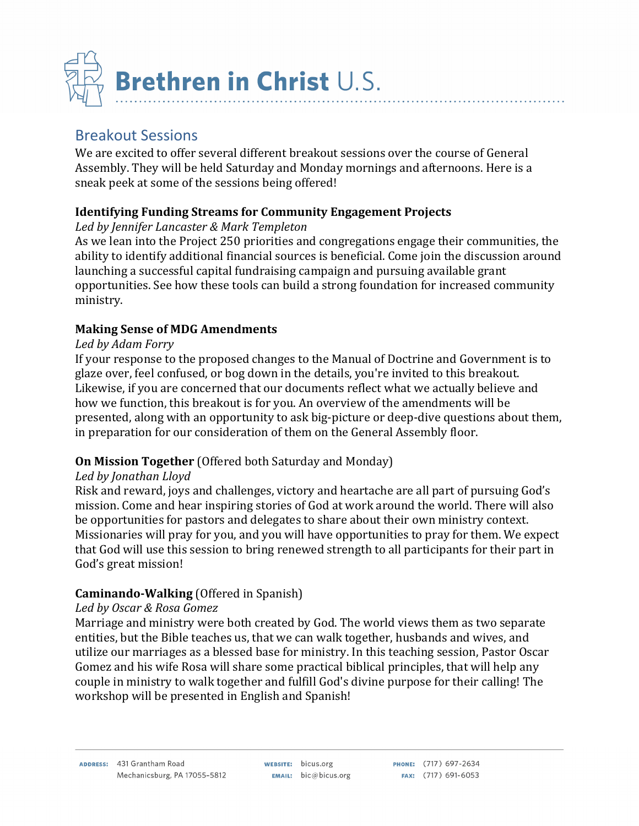

# Breakout Sessions

We are excited to offer several different breakout sessions over the course of General Assembly. They will be held Saturday and Monday mornings and afternoons. Here is a sneak peek at some of the sessions being offered!

### **Identifying Funding Streams for Community Engagement Projects**

### *Led by Jennifer Lancaster & Mark Templeton*

As we lean into the Project 250 priorities and congregations engage their communities, the ability to identify additional financial sources is beneficial. Come join the discussion around launching a successful capital fundraising campaign and pursuing available grant opportunities. See how these tools can build a strong foundation for increased community ministry.

## **Making Sense of MDG Amendments**

### *Led by Adam Forry*

If your response to the proposed changes to the Manual of Doctrine and Government is to glaze over, feel confused, or bog down in the details, you're invited to this breakout. Likewise, if you are concerned that our documents reflect what we actually believe and how we function, this breakout is for you. An overview of the amendments will be presented, along with an opportunity to ask big-picture or deep-dive questions about them, in preparation for our consideration of them on the General Assembly floor.

### **On Mission Together** (Offered both Saturday and Monday)

### *Led by Jonathan Lloyd*

Risk and reward, joys and challenges, victory and heartache are all part of pursuing God's mission. Come and hear inspiring stories of God at work around the world. There will also be opportunities for pastors and delegates to share about their own ministry context. Missionaries will pray for you, and you will have opportunities to pray for them. We expect that God will use this session to bring renewed strength to all participants for their part in God's great mission!

### **Caminando-Walking** (Offered in Spanish)

### *Led by Oscar & Rosa Gomez*

Marriage and ministry were both created by God. The world views them as two separate entities, but the Bible teaches us, that we can walk together, husbands and wives, and utilize our marriages as a blessed base for ministry. In this teaching session, Pastor Oscar Gomez and his wife Rosa will share some practical biblical principles, that will help any couple in ministry to walk together and fulfill God's divine purpose for their calling! The workshop will be presented in English and Spanish!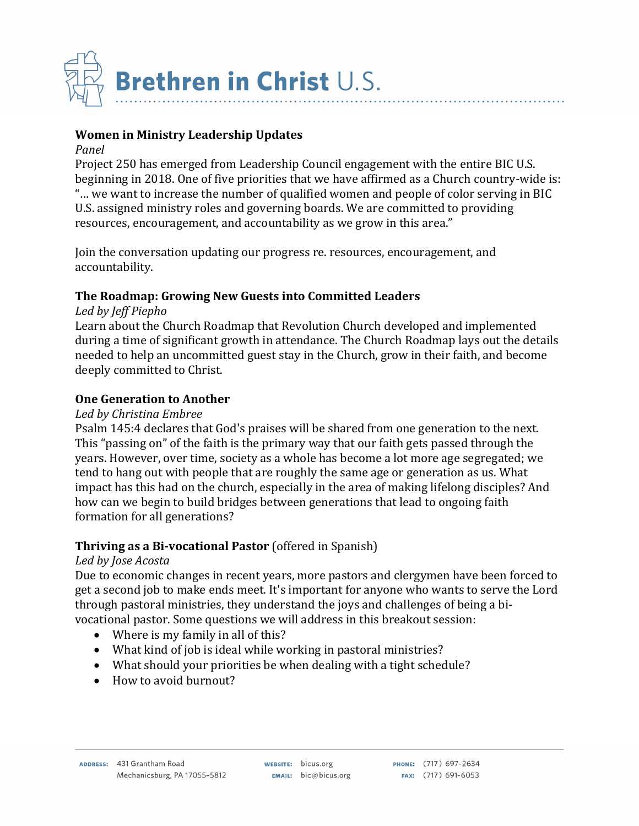

### **Women in Ministry Leadership Updates**

#### *Panel*

Project 250 has emerged from Leadership Council engagement with the entire BIC U.S. beginning in 2018. One of five priorities that we have affirmed as a Church country-wide is: "... we want to increase the number of qualified women and people of color serving in BIC U.S. assigned ministry roles and governing boards. We are committed to providing resources, encouragement, and accountability as we grow in this area."

Join the conversation updating our progress re. resources, encouragement, and accountability.

#### **The Roadmap: Growing New Guests into Committed Leaders**

#### *Led by Jeff Piepho*

Learn about the Church Roadmap that Revolution Church developed and implemented during a time of significant growth in attendance. The Church Roadmap lays out the details needed to help an uncommitted guest stay in the Church, grow in their faith, and become deeply committed to Christ.

#### **One Generation to Another**

#### *Led by Christina Embree*

Psalm 145:4 declares that God's praises will be shared from one generation to the next. This "passing on" of the faith is the primary way that our faith gets passed through the years. However, over time, society as a whole has become a lot more age segregated; we tend to hang out with people that are roughly the same age or generation as us. What impact has this had on the church, especially in the area of making lifelong disciples? And how can we begin to build bridges between generations that lead to ongoing faith formation for all generations?

#### **Thriving as a Bi-vocational Pastor** (offered in Spanish)

#### *Led by Jose Acosta*

Due to economic changes in recent years, more pastors and clergymen have been forced to get a second job to make ends meet. It's important for anyone who wants to serve the Lord through pastoral ministries, they understand the joys and challenges of being a bivocational pastor. Some questions we will address in this breakout session:

- Where is my family in all of this?
- What kind of job is ideal while working in pastoral ministries?
- What should your priorities be when dealing with a tight schedule?
- How to avoid burnout?